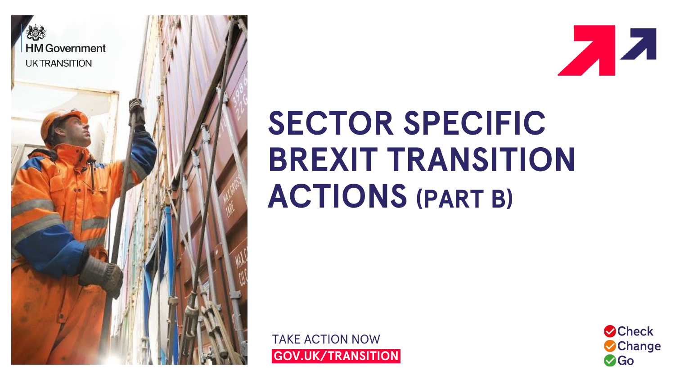

**A** 

# **SECTOR SPECIFIC BREXIT TRANSITION ACTIONS (PART B)**

TAKE ACTION NOW **<sup>i</sup>GOV.UK/TRANSITION<sup>i</sup>**

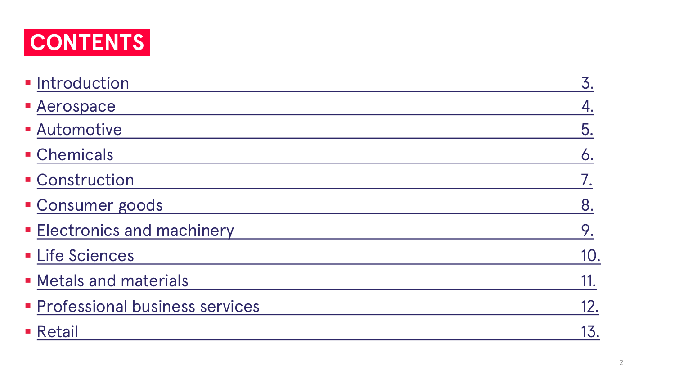

| <b>CONTENTS</b>                  |     |
|----------------------------------|-----|
| · Introduction                   | 3.  |
| <b>- Aerospace</b>               | 4.  |
| <b>Automotive</b>                | 5.  |
| • Chemicals                      | 6.  |
| <b>Construction</b>              | 7.  |
| • Consumer goods                 | 8.  |
| <b>Electronics and machinery</b> | 9.  |
| <b>- Life Sciences</b>           | 10. |
| • Metals and materials           | 11. |
| • Professional business services | 12. |
| ■ Retail                         | 13. |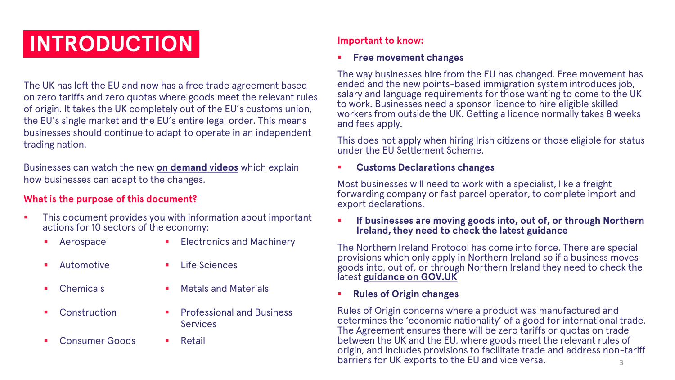## **INTRODUCTION**

The UK has left the EU and now has a free trade agreement based on zero tariffs and zero quotas where goods meet the relevant rules of origin. It takes the UK completely out of the EU's customs union, the EU's single market and the EU's entire legal order. This means businesses should continue to adapt to operate in an independent trading nation.

Businesses can watch the new **[on demand videos](https://www.workcast.com/register?cpak=1070296099921910)** which explain how businesses can adapt to the changes.

#### **What is the purpose of this document?**

- This document provides you with information about important actions for 10 sectors of the economy:
	-
- Aerospace **Electronics and Machinery**

**Services** 

- Automotive **Example 1** Life Sciences
- **Chemicals ■** Metals and Materials
- **Construction Professional and Business**
- **Consumer Goods ■** Retail

#### **Important to know:**

#### ▪ **Free movement changes**

The way businesses hire from the EU has changed. Free movement has ended and the new points-based immigration system introduces job, salary and language requirements for those wanting to come to the UK to work. Businesses need a sponsor licence to hire eligible skilled workers from outside the UK. Getting a licence normally takes 8 weeks and fees apply.

This does not apply when hiring Irish citizens or those eligible for status under the EU Settlement Scheme.

#### ▪ **Customs Declarations changes**

Most businesses will need to work with a specialist, like a freight forwarding company or fast parcel operator, to complete import and export declarations.

#### ▪ **If businesses are moving goods into, out of, or through Northern Ireland, they need to check the latest guidance**

The Northern Ireland Protocol has come into force. There are special provisions which only apply in Northern Ireland so if a business moves goods into, out of, or through Northern Ireland they need to check the latest **[guidance on GOV.UK](https://www.gov.uk/government/collections/moving-goods-into-out-of-or-through-northern-ireland)**

#### ▪ **Rules of Origin changes**

Rules of Origin concerns where a product was manufactured and determines the 'economic nationality' of a good for international trade. The Agreement ensures there will be zero tariffs or quotas on trade between the UK and the EU, where goods meet the relevant rules of origin, and includes provisions to facilitate trade and address non-tariff barriers for UK exports to the EU and vice versa.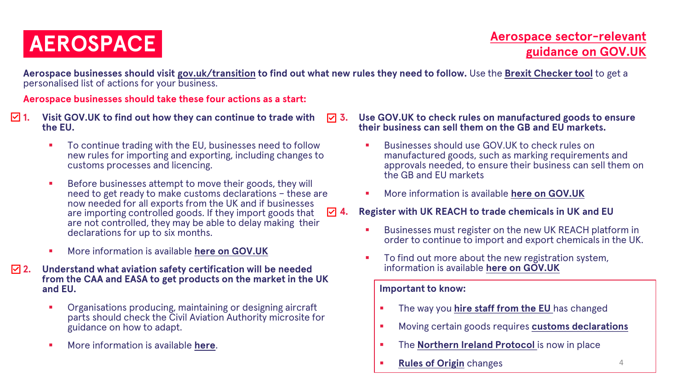### **iAEROSPACEi**

**Aerospace businesses should visit [gov.uk/transition](https://www.gov.uk/transition) to find out what new rules they need to follow.** Use the **[Brexit Checker tool](https://www.gov.uk/transition-check/questions)** to get a personalised list of actions for your business.

**Aerospace businesses should take these four actions as a start:**

- **1. Visit GOV.UK to find out how they can continue to trade with the EU.**
	- To continue trading with the EU, businesses need to follow new rules for importing and exporting, including changes to customs processes and licencing.
	- Before businesses attempt to move their goods, they will need to get ready to make customs declarations – these are now needed for all exports from the UK and if businesses are importing controlled goods. If they import goods that are not controlled, they may be able to delay making their declarations for up to six months.
	- More information is available **[here on GOV.UK](https://www.gov.uk/topic/business-tax/import-export)**
- **2. Understand what aviation safety certification will be needed from the CAA and EASA to get products on the market in the UK and EU.**
	- Organisations producing, maintaining or designing aircraft parts should check the Civil Aviation Authority microsite for guidance on how to adapt.
	- More information is available **[here](https://info.caa.co.uk/uk-eu-transition/)**.
- **3. Use GOV.UK to check rules on manufactured goods to ensure their business can sell them on the GB and EU markets.**
	- Businesses should use GOV.UK to check rules on manufactured goods, such as marking requirements and approvals needed, to ensure their business can sell them on the GB and EU markets
	- **More information is available [here on GOV.UK](https://www.gov.uk/guidance/placing-manufactured-goods-on-the-market-in-great-britain)**
- **4. Register with UK REACH to trade chemicals in UK and EU**
	- Businesses must register on the new UK REACH platform in order to continue to import and export chemicals in the UK.
	- To find out more about the new registration system, information is available **[here on GOV.UK](https://www.gov.uk/guidance/how-to-comply-with-reach-chemical-regulations)**

- **EXECUTE:** The way you **hire staff from the EU** has changed
- Moving certain goods requires **[customs declarations](https://www.gov.uk/topic/business-tax/import-export)**
- **The [Northern Ireland Protocol](https://www.gov.uk/government/collections/moving-goods-into-out-of-or-through-northern-ireland) is now in place**
- **[Rules of Origin](https://www.gov.uk/guidance/claiming-preferential-rates-of-duty-between-the-uk-and-eu)** changes **4**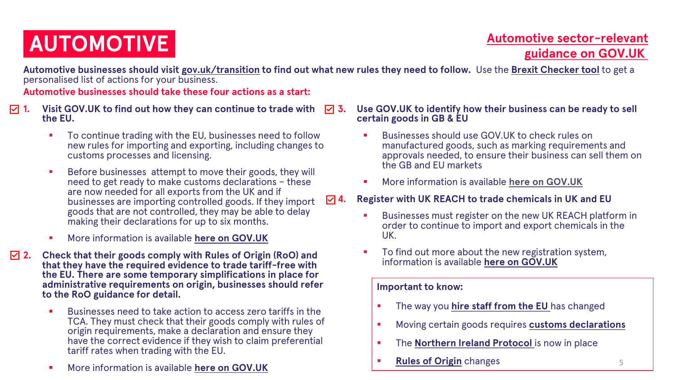## **AUTOMOTIVE**

### **[Automotive sector-relevant](https://www.gov.uk/government/collections/automotive-sector-end-of-transition-period-guidance)  guidance on GOV.UK**

**Automotive businesses should visit [gov.uk/transition](https://www.gov.uk/transition) to find out what new rules they need to follow.** Use the **[Brexit Checker tool](https://www.gov.uk/transition-check/questions)** to get a personalised list of actions for your business.

**Automotive businesses should take these four actions as a start:**

- **1. Visit GOV.UK to find out how they can continue to trade with the EU.** 
	- To continue trading with the EU, businesses need to follow new rules for importing and exporting, including changes to customs processes and licensing.
	- Before businesses attempt to move their goods, they will need to get ready to make customs declarations – these are now needed for all exports from the UK and if businesses are importing controlled goods. If they import goods that are not controlled, they may be able to delay making their declarations for up to six months.
	- More information is available **[here on GOV.UK](https://www.gov.uk/topic/business-tax/import-export)**
- **2. Check that their goods comply with Rules of Origin (RoO) and that they have the required evidence to trade tariff-free with the EU. There are some temporary simplifications in place for administrative requirements on origin, businesses should refer to the RoO guidance for detail.**
	- Businesses need to take action to access zero tariffs in the TCA. They must check that their goods comply with rules of origin requirements, make a declaration and ensure they have the correct evidence if they wish to claim preferential tariff rates when trading with the EU.
	- More information is available **[here on GOV.UK](https://www.gov.uk/guidance/claiming-preferential-rates-of-duty-between-the-uk-and-eu)**

#### **3. Use GOV.UK to identify how their business can be ready to sell certain goods in GB & EU**

- Businesses should use GOV.UK to check rules on manufactured goods, such as marking requirements and approvals needed, to ensure their business can sell them on the GB and EU markets
- **More information is available [here on GOV.UK](https://www.gov.uk/guidance/placing-manufactured-goods-on-the-market-in-great-britain)**

#### **4. Register with UK REACH to trade chemicals in UK and EU**

- Businesses must register on the new UK REACH platform in order to continue to import and export chemicals in the UK.
- To find out more about the new registration system, information is available **[here on GOV.UK](https://www.gov.uk/guidance/how-to-comply-with-reach-chemical-regulations)**

- The way you **hire staff from the EU** has changed
- Moving certain goods requires **[customs declarations](https://www.gov.uk/topic/business-tax/import-export)**
- The **Northern Ireland Protocol** is now in place
- **[Rules of Origin](https://www.gov.uk/guidance/claiming-preferential-rates-of-duty-between-the-uk-and-eu)** changes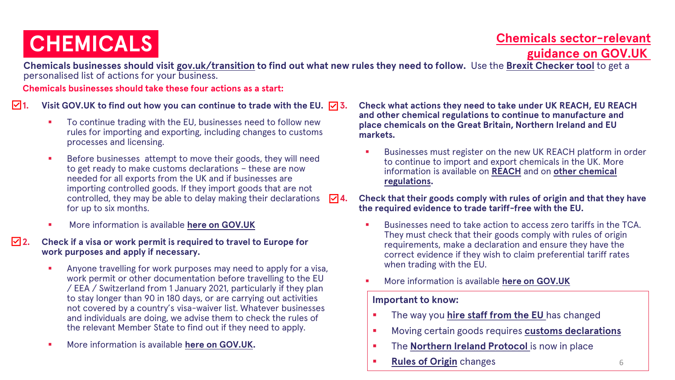**Chemicals sector-relevant CHEMICALS**<br> **iCHEMICALS**<br> **iCHEMICALS** 

**Chemicals businesses should visit [gov.uk/transition](https://www.gov.uk/transition) to find out what new rules they need to follow.** Use the **[Brexit Checker tool](https://www.gov.uk/transition-check/questions)** to get a personalised list of actions for your business.

**Chemicals businesses should take these four actions as a start:**

**1.** Visit GOV.UK to find out how you can continue to trade with the EU.  $\boxed{\triangledown}$  3.

- To continue trading with the EU, businesses need to follow new rules for importing and exporting, including changes to customs processes and licensing.
- Before businesses attempt to move their goods, they will need to get ready to make customs declarations – these are now needed for all exports from the UK and if businesses are importing controlled goods. If they import goods that are not controlled, they may be able to delay making their declarations for up to six months.
- More information is available **[here on GOV.UK](https://www.gov.uk/topic/business-tax/import-export)**
- **2. Check if a visa or work permit is required to travel to Europe for work purposes and apply if necessary.**
	- Anyone travelling for work purposes may need to apply for a visa, work permit or other documentation before travelling to the EU / EEA / Switzerland from 1 January 2021, particularly if they plan to stay longer than 90 in 180 days, or are carrying out activities not covered by a country's visa-waiver list. Whatever businesses and individuals are doing, we advise them to check the rules of the relevant Member State to find out if they need to apply.
	- More information is available **[here on GOV.UK.](https://www.gov.uk/visit-europe-1-january-2021/business-travel-extra-requirements)**
- **3. Check what actions they need to take under UK REACH, EU REACH and other chemical regulations to continue to manufacture and place chemicals on the Great Britain, Northern Ireland and EU markets.**
	- Businesses must register on the new UK REACH platform in order to continue to import and export chemicals in the UK. More [information is available on](https://www.hse.gov.uk/brexit/chemicals-brexit-guidance.htm) **[REACH](https://www.gov.uk/guidance/how-to-comply-with-reach-chemical-regulations)** and on **other chemical regulations.**
- **4. Check that their goods comply with rules of origin and that they have the required evidence to trade tariff-free with the EU.**
	- Businesses need to take action to access zero tariffs in the TCA. They must check that their goods comply with rules of origin requirements, make a declaration and ensure they have the correct evidence if they wish to claim preferential tariff rates when trading with the EU.
	- More information is available [here on GOV.UK](https://eur02.safelinks.protection.outlook.com/?url=https%3A%2F%2Fwww.gov.uk%2Fguidance%2Fclaiming-preferential-rates-of-duty-between-the-uk-and-eu&data=04%7C01%7CMaddy.Willson%40beis.gov.uk%7C98519a8fb604418d780708d8be0d53bd%7Ccbac700502c143ebb497e6492d1b2dd8%7C0%7C0%7C637468311734433045%7CUnknown%7CTWFpbGZsb3d8eyJWIjoiMC4wLjAwMDAiLCJQIjoiV2luMzIiLCJBTiI6Ik1haWwiLCJXVCI6Mn0%3D%7C1000&sdata=JgmrihQwevHIx%2FppaevnTdU8w%2FdWx0lJSUQMt5o03nc%3D&reserved=0)

- **.** The way you **hire staff from the EU** has changed
- Moving certain goods requires **[customs declarations](https://www.gov.uk/topic/business-tax/import-export)**
- **.** The **Northern Ireland Protocol** is now in place
- **[Rules of Origin](https://www.gov.uk/guidance/claiming-preferential-rates-of-duty-between-the-uk-and-eu)** changes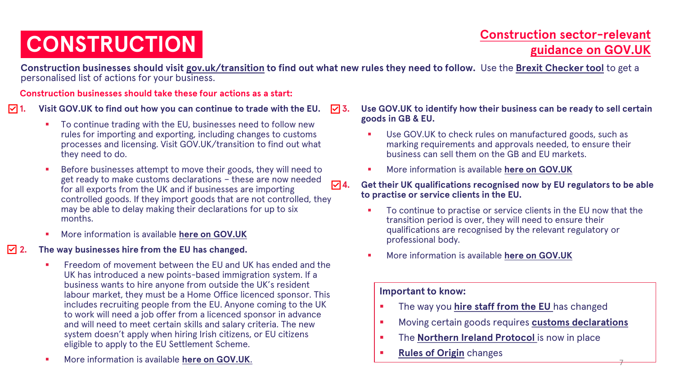## **CONSTRUCTION**<br> **i**CONSTRUCTION **i**CONSTRUCTION

7

**Construction businesses should visit [gov.uk/transition](https://www.gov.uk/transition) to find out what new rules they need to follow.** Use the **[Brexit Checker tool](https://www.gov.uk/transition-check/questions)** to get a personalised list of actions for your business.

**Construction businesses should take these four actions as a start:**

#### **1. Visit GOV.UK to find out how you can continue to trade with the EU.**

- To continue trading with the EU, businesses need to follow new rules for importing and exporting, including changes to customs processes and licensing. Visit GOV.UK/transition to find out what they need to do.
- Before businesses attempt to move their goods, they will need to get ready to make customs declarations – these are now needed for all exports from the UK and if businesses are importing controlled goods. If they import goods that are not controlled, they may be able to delay making their declarations for up to six months.
- More information is available [here on GOV.UK](https://www.gov.uk/topic/business-tax/import-export)

#### **2. The way businesses hire from the EU has changed.**

- Freedom of movement between the EU and UK has ended and the UK has introduced a new points-based immigration system. If a business wants to hire anyone from outside the UK's resident labour market, they must be a Home Office licenced sponsor. This includes recruiting people from the EU. Anyone coming to the UK to work will need a job offer from a licenced sponsor in advance and will need to meet certain skills and salary criteria. The new system doesn't apply when hiring Irish citizens, or EU citizens eligible to apply to the EU Settlement Scheme.
- More information is available **[here on GOV.UK](https://pbisemployers.campaign.gov.uk/)**.

#### **3. Use GOV.UK to identify how their business can be ready to sell certain goods in GB & EU.**

- Use GOV.UK to check rules on manufactured goods, such as marking requirements and approvals needed, to ensure their business can sell them on the GB and EU markets.
- More information is available **[here on GOV.UK](https://www.gov.uk/guidance/placing-manufactured-goods-on-the-market-in-great-britain)**

#### **4. Get their UK qualifications recognised now by EU regulators to be able to practise or service clients in the EU.**

- To continue to practise or service clients in the EU now that the transition period is over, they will need to ensure their qualifications are recognised by the relevant regulatory or professional body.
- More information is available **[here on GOV.UK](https://www.gov.uk/guidance/get-your-eu-professional-qualification-recognised-in-the-uk)**

- **EXECUTE:** The way you **hire staff from the EU** has changed
- Moving certain goods requires **[customs declarations](https://www.gov.uk/topic/business-tax/import-export)**
- **.** The **Northern Ireland Protocol** is now in place
- **[Rules of Origin](https://www.gov.uk/guidance/claiming-preferential-rates-of-duty-between-the-uk-and-eu) changes**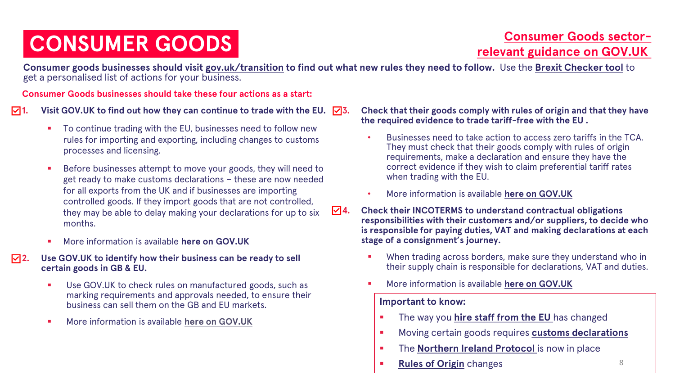### **CONSUMER GOODS**

### **Consumer Goods sector[relevant guidance on GOV.UK](https://www.gov.uk/government/collections/consumer-goods-sector-end-of-transition-period-guidance)**

**Consumer goods businesses should visit [gov.uk/transition](https://www.gov.uk/transition) to find out what new rules they need to follow.** Use the **[Brexit Checker tool](https://www.gov.uk/transition-check/questions)** to get a personalised list of actions for your business.

**Consumer Goods businesses should take these four actions as a start:**

 $\sqrt{11}$ . Visit GOV.UK to find out how they can continue to trade with the EU.  $\sqrt{3}$ .

- To continue trading with the EU, businesses need to follow new rules for importing and exporting, including changes to customs processes and licensing.
- Before businesses attempt to move your goods, they will need to get ready to make customs declarations – these are now needed for all exports from the UK and if businesses are importing controlled goods. If they import goods that are not controlled, they may be able to delay making your declarations for up to six months.
- More information is available **[here on GOV.UK](https://www.gov.uk/topic/business-tax/import-export)**
- **2. Use GOV.UK to identify how their business can be ready to sell certain goods in GB & EU.**
	- Use GOV.UK to check rules on manufactured goods, such as marking requirements and approvals needed, to ensure their business can sell them on the GB and EU markets.
	- More information is available **[here on GOV.UK](https://www.gov.uk/guidance/placing-manufactured-goods-on-the-market-in-great-britain)**

**3. Check that their goods comply with rules of origin and that they have the required evidence to trade tariff-free with the EU .**

- Businesses need to take action to access zero tariffs in the TCA. They must check that their goods comply with rules of origin requirements, make a declaration and ensure they have the correct evidence if they wish to claim preferential tariff rates when trading with the EU.
- More information is available **[here on GOV.UK](More%20information%20is%20available%20here%20on%20GOV.UK)**
- **4. Check their INCOTERMS to understand contractual obligations responsibilities with their customers and/or suppliers, to decide who is responsible for paying duties, VAT and making declarations at each stage of a consignment's journey.**
	- When trading across borders, make sure they understand who in their supply chain is responsible for declarations, VAT and duties.
	- More information is available **[here on GOV.UK](https://www.gov.uk/guidance/international-trade-paperwork-the-basics)**

- **EXECUTE:** The way you **hire staff from the EU** has changed
- Moving certain goods requires **[customs declarations](https://www.gov.uk/topic/business-tax/import-export)**
- **EXECT:** The **Northern Ireland Protocol** is now in place
- **[Rules of Origin](https://www.gov.uk/guidance/claiming-preferential-rates-of-duty-between-the-uk-and-eu)** changes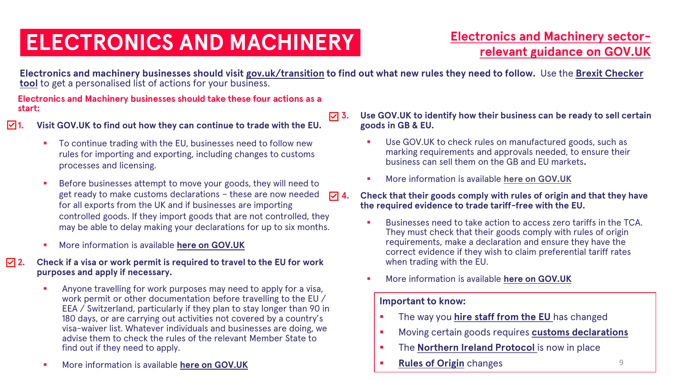### **ELECTRONICS AND MACHINERY**

### **[Electronics and Machinery sector](https://www.gov.uk/government/collections/electronics-and-machinery-sector-end-of-transition-period-guidance)relevant guidance on GOV.UK**

**[Electronics and machinery businesses should visit gov.uk/transition](https://www.gov.uk/transition-check/questions) to find out what new rules they need to follow.** Use the **Brexit Checker tool** to get a personalised list of actions for your business.

**Electronics and Machinery businesses should take these four actions as a start:**

**1. Visit GOV.UK to find out how they can continue to trade with the EU.**

- To continue trading with the EU, businesses need to follow new rules for importing and exporting, including changes to customs processes and licensing.
- Before businesses attempt to move your goods, they will need to get ready to make customs declarations – these are now needed for all exports from the UK and if businesses are importing controlled goods. If they import goods that are not controlled, they may be able to delay making your declarations for up to six months.
- **More information is available [here on GOV.UK](https://www.gov.uk/topic/business-tax/import-export)**
- **2. Check if a visa or work permit is required to travel to the EU for work purposes and apply if necessary.**
	- Anyone travelling for work purposes may need to apply for a visa, work permit or other documentation before travelling to the EU / EEA / Switzerland, particularly if they plan to stay longer than 90 in 180 days, or are carrying out activities not covered by a country's visa-waiver list. Whatever individuals and businesses are doing, we advise them to check the rules of the relevant Member State to find out if they need to apply.
	- More information is available **[here on GOV.UK](https://www.gov.uk/visit-europe-1-january-2021/business-travel-extra-requirements)**
- **3. Use GOV.UK to identify how their business can be ready to sell certain goods in GB & EU.**
	- Use GOV. UK to check rules on manufactured goods, such as marking requirements and approvals needed, to ensure their business can sell them on the GB and EU markets**.**
	- **More information is available [here on GOV.UK](https://www.gov.uk/guidance/placing-manufactured-goods-on-the-market-in-great-britain)**
- **4. Check that their goods comply with rules of origin and that they have the required evidence to trade tariff-free with the EU.**
	- Businesses need to take action to access zero tariffs in the TCA. They must check that their goods comply with rules of origin requirements, make a declaration and ensure they have the correct evidence if they wish to claim preferential tariff rates when trading with the EU.
	- More information is available [here on GOV.UK](https://eur02.safelinks.protection.outlook.com/?url=https%3A%2F%2Fwww.gov.uk%2Fguidance%2Fclaiming-preferential-rates-of-duty-between-the-uk-and-eu&data=04%7C01%7CMaddy.Willson%40beis.gov.uk%7C98519a8fb604418d780708d8be0d53bd%7Ccbac700502c143ebb497e6492d1b2dd8%7C0%7C0%7C637468311734433045%7CUnknown%7CTWFpbGZsb3d8eyJWIjoiMC4wLjAwMDAiLCJQIjoiV2luMzIiLCJBTiI6Ik1haWwiLCJXVCI6Mn0%3D%7C1000&sdata=JgmrihQwevHIx%2FppaevnTdU8w%2FdWx0lJSUQMt5o03nc%3D&reserved=0)

- **EXECUTE:** The way you [hire staff from the EU](https://pbisemployers.campaign.gov.uk/) has changed
- Moving certain goods requires **[customs declarations](https://www.gov.uk/topic/business-tax/import-export)**
- **EXECT:** The **Northern Ireland Protocol** is now in place
- **[Rules of Origin](https://www.gov.uk/guidance/claiming-preferential-rates-of-duty-between-the-uk-and-eu)** changes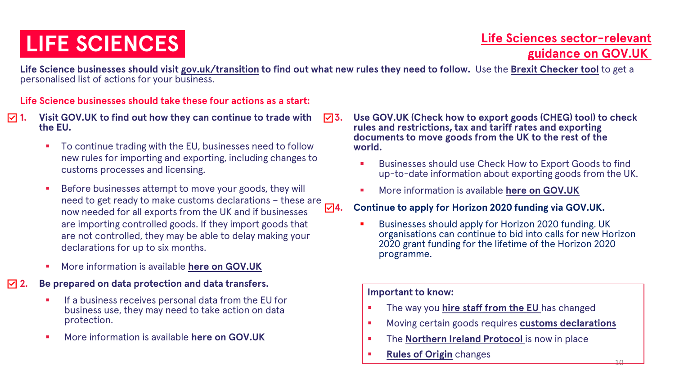### **Life Sciences sector-relevant For SCIENCES**<br> **ide SCIENCES**<br> **i[guidance on GOV.UK](https://www.gov.uk/government/collections/life-sciences-sector-end-of-transition-period-guidance)**

 $1<sub>0</sub>$ 

**Life Science businesses should visit [gov.uk/transition](https://www.gov.uk/transition) to find out what new rules they need to follow.** Use the **[Brexit Checker tool](https://www.gov.uk/transition-check/questions)** to get a personalised list of actions for your business.

#### **Life Science businesses should take these four actions as a start:**

- **1. Visit GOV.UK to find out how they can continue to trade with the EU.**
	- To continue trading with the EU, businesses need to follow new rules for importing and exporting, including changes to customs processes and licensing.
	- Before businesses attempt to move your goods, they will need to get ready to make customs declarations – these are  $\nabla$ 4. now needed for all exports from the UK and if businesses are importing controlled goods. If they import goods that are not controlled, they may be able to delay making your declarations for up to six months.
	- **More information is available [here on GOV.UK](https://www.gov.uk/topic/business-tax/import-export)**

#### **2. Be prepared on data protection and data transfers.**

- If a business receives personal data from the EU for business use, they may need to take action on data protection.
- **More information is available [here on GOV.UK](https://www.gov.uk/guidance/using-personal-data-in-your-business-or-other-organisation)**
- **3. Use GOV.UK (Check how to export goods (CHEG) tool) to check rules and restrictions, tax and tariff rates and exporting documents to move goods from the UK to the rest of the world.**
	- Businesses should use Check How to Export Goods to find up-to-date information about exporting goods from the UK.
	- More information is available **[here on GOV.UK](https://www.gov.uk/export-goods)**

#### **4. Continue to apply for Horizon 2020 funding via GOV.UK.**

Businesses should apply for Horizon 2020 funding. UK organisations can continue to bid into calls for new Horizon 2020 grant funding for the lifetime of the Horizon 2020 programme.

- The way you **hire staff from the EU** has changed
- Moving certain goods requires **[customs declarations](https://www.gov.uk/topic/business-tax/import-export)**
- The **Northern Ireland Protocol** is now in place
- **[Rules of Origin](https://www.gov.uk/guidance/claiming-preferential-rates-of-duty-between-the-uk-and-eu)** changes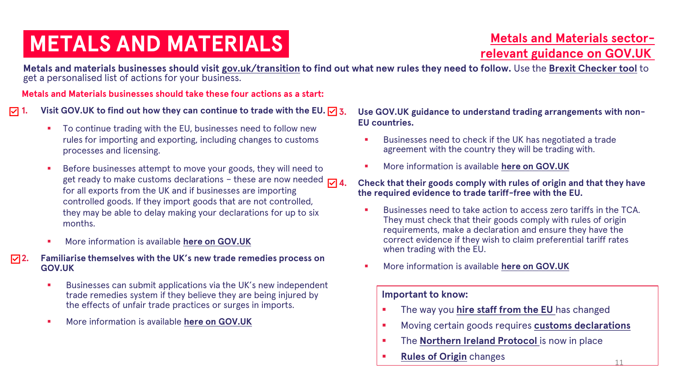## **[relevant guidance on GOV.UK](https://www.gov.uk/government/collections/metals-and-other-goods-sector-end-of-transition-period-guidance) intervalse Section Section Section Section Section Section Section Section Section Section Section Section Section Section Section Section Section Section Section Section Section Section Sect**

11

**Metals and materials businesses should visit [gov.uk/transition](https://www.gov.uk/transition) to find out what new rules they need to follow.** Use the **[Brexit Checker tool](https://www.gov.uk/transition-check/questions)** to get a personalised list of actions for your business.

**Metals and Materials businesses should take these four actions as a start:**

 $\sqrt{7}$  **1.** Visit GOV.UK to find out how they can continue to trade with the EU.  $\sqrt{7}$  3.

- To continue trading with the EU, businesses need to follow new rules for importing and exporting, including changes to customs processes and licensing.
- Before businesses attempt to move your goods, they will need to get ready to make customs declarations - these are now needed  $\overline{\mathsf{v}}$  4. for all exports from the UK and if businesses are importing controlled goods. If they import goods that are not controlled, they may be able to delay making your declarations for up to six months.
- **More information is available [here on GOV.UK](https://www.gov.uk/topic/business-tax/import-export)**
- **2. Familiarise themselves with the UK's new trade remedies process on GOV.UK**
	- Businesses can submit applications via the UK's new independent trade remedies system if they believe they are being injured by the effects of unfair trade practices or surges in imports.
	- More information is available **[here on GOV.UK](https://www.gov.uk/government/publications/the-uk-trade-remedies-investigations-process)**

**3. Use GOV.UK guidance to understand trading arrangements with non-EU countries.**

- Businesses need to check if the UK has negotiated a trade agreement with the country they will be trading with.
- More information is available **[here on GOV.UK](https://www.gov.uk/guidance/uk-trade-agreements-with-non-eu-countries)**

**4. Check that their goods comply with rules of origin and that they have the required evidence to trade tariff-free with the EU.**

- Businesses need to take action to access zero tariffs in the TCA. They must check that their goods comply with rules of origin requirements, make a declaration and ensure they have the correct evidence if they wish to claim preferential tariff rates when trading with the EU.
- More information is available **[here on GOV.UK](https://eur02.safelinks.protection.outlook.com/?url=https%3A%2F%2Fwww.gov.uk%2Fguidance%2Fclaiming-preferential-rates-of-duty-between-the-uk-and-eu&data=04%7C01%7CMaddy.Willson%40beis.gov.uk%7C98519a8fb604418d780708d8be0d53bd%7Ccbac700502c143ebb497e6492d1b2dd8%7C0%7C0%7C637468311734433045%7CUnknown%7CTWFpbGZsb3d8eyJWIjoiMC4wLjAwMDAiLCJQIjoiV2luMzIiLCJBTiI6Ik1haWwiLCJXVCI6Mn0%3D%7C1000&sdata=JgmrihQwevHIx%2FppaevnTdU8w%2FdWx0lJSUQMt5o03nc%3D&reserved=0)**

- **EXECUTE:** The way you **hire staff from the EU** has changed
- Moving certain goods requires **[customs declarations](https://www.gov.uk/topic/business-tax/import-export)**
- **EXECT:** The **Northern Ireland Protocol** is now in place
- **[Rules of Origin](https://www.gov.uk/guidance/claiming-preferential-rates-of-duty-between-the-uk-and-eu)** changes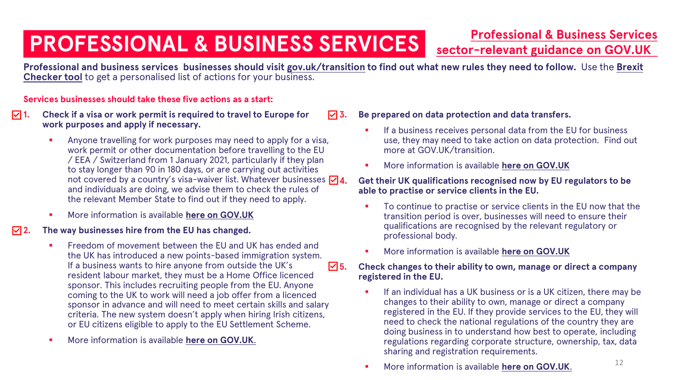### **PROFESSIONAL & BUSINESS SERVICES**

**[Professional & Business Services](https://www.gov.uk/government/collections/services-and-investment-sector-end-of-transition-period-guidance)** 

**sector-relevant guidance on GOV.UK**

**Professional and business services businesses should visit [gov.uk/transition](https://www.gov.uk/transition) [to find out what new rules they need to follow.](https://www.gov.uk/transition-check/questions)** Use the **Brexit Checker tool** to get a personalised list of actions for your business.

#### **Services businesses should take these five actions as a start:**

- **1. Check if a visa or work permit is required to travel to Europe for work purposes and apply if necessary.**
	- Anyone travelling for work purposes may need to apply for a visa, work permit or other documentation before travelling to the EU / EEA / Switzerland from 1 January 2021, particularly if they plan to stay longer than 90 in 180 days, or are carrying out activities not covered by a country's visa-waiver list. Whatever businesses  $\nabla \mathbf{A}$ . and individuals are doing, we advise them to check the rules of the relevant Member State to find out if they need to apply.
	- More information is available **[here on GOV.UK](https://www.gov.uk/visit-europe-1-january-2021/business-travel-extra-requirements)**

#### **2. The way businesses hire from the EU has changed.**

- Freedom of movement between the EU and UK has ended and the UK has introduced a new points-based immigration system. If a business wants to hire anyone from outside the UK's resident labour market, they must be a Home Office licenced sponsor. This includes recruiting people from the EU. Anyone coming to the UK to work will need a job offer from a licenced sponsor in advance and will need to meet certain skills and salary criteria. The new system doesn't apply when hiring Irish citizens, or EU citizens eligible to apply to the EU Settlement Scheme.
- More information is available [here on GOV.UK](https://pbisemployers.campaign.gov.uk/).

#### **3. Be prepared on data protection and data transfers.**

- If a business receives personal data from the EU for business use, they may need to take action on data protection. Find out more at GOV.UK/transition.
- More information is available **[here on GOV.UK](https://www.gov.uk/guidance/using-personal-data-in-your-business-or-other-organisation)**

#### **4. Get their UK qualifications recognised now by EU regulators to be able to practise or service clients in the EU.**

- To continue to practise or service clients in the EU now that the transition period is over, businesses will need to ensure their qualifications are recognised by the relevant regulatory or professional body.
- More information is available **[here on GOV.UK](https://www.gov.uk/guidance/get-your-eu-professional-qualification-recognised-in-the-uk)**

#### **5. Check changes to their ability to own, manage or direct a company registered in the EU.**

- **EXECT** If an individual has a UK business or is a UK citizen, there may be changes to their ability to own, manage or direct a company registered in the EU. If they provide services to the EU, they will need to check the national regulations of the country they are doing business in to understand how best to operate, including regulations regarding corporate structure, ownership, tax, data sharing and registration requirements.
- More information is available **[here on GOV.UK](https://www.gov.uk/guidance/providing-services-to-any-country-in-the-eu-iceland-liechtenstein-norway-or-switzerland-after-eu-exit)**.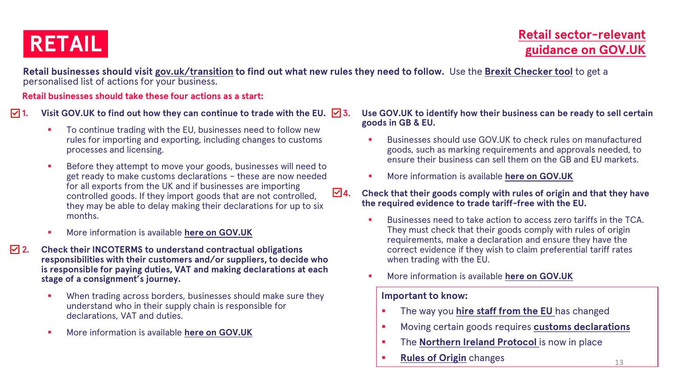**Retail businesses should visit [gov.uk/transition](https://www.gov.uk/transition) to find out what new rules they need to follow.** Use the **[Brexit Checker tool](https://www.gov.uk/transition-check/questions)** to get a personalised list of actions for your business.

**Retail businesses should take these four actions as a start:**

 $\sqrt{2}$  **1.** Visit GOV.UK to find out how they can continue to trade with the EU.  $\sqrt{3}$ .

- To continue trading with the EU, businesses need to follow new rules for importing and exporting, including changes to customs processes and licensing.
- Before they attempt to move your goods, businesses will need to get ready to make customs declarations – these are now needed for all exports from the UK and if businesses are importing controlled goods. If they import goods that are not controlled, they may be able to delay making their declarations for up to six months.
- More information is available **[here on GOV.UK](https://www.gov.uk/topic/business-tax/import-export)**
- **2. Check their INCOTERMS to understand contractual obligations responsibilities with their customers and/or suppliers, to decide who is responsible for paying duties, VAT and making declarations at each stage of a consignment's journey.** 
	- **•** When trading across borders, businesses should make sure they understand who in their supply chain is responsible for declarations, VAT and duties.
	- More information is available **[here on GOV.UK](https://www.gov.uk/guidance/international-trade-paperwork-the-basics)**

#### **3. Use GOV.UK to identify how their business can be ready to sell certain goods in GB & EU.**

- Businesses should use GOV.UK to check rules on manufactured goods, such as marking requirements and approvals needed, to ensure their business can sell them on the GB and EU markets.
- **More information is available [here on GOV.UK](https://www.gov.uk/guidance/placing-manufactured-goods-on-the-market-in-great-britain)**
- **4. Check that their goods comply with rules of origin and that they have the required evidence to trade tariff-free with the EU.**
	- Businesses need to take action to access zero tariffs in the TCA. They must check that their goods comply with rules of origin requirements, make a declaration and ensure they have the correct evidence if they wish to claim preferential tariff rates when trading with the EU.
	- More information is available **[here on GOV.UK](https://eur02.safelinks.protection.outlook.com/?url=https%3A%2F%2Fwww.gov.uk%2Fguidance%2Fclaiming-preferential-rates-of-duty-between-the-uk-and-eu&data=04%7C01%7CMaddy.Willson%40beis.gov.uk%7C98519a8fb604418d780708d8be0d53bd%7Ccbac700502c143ebb497e6492d1b2dd8%7C0%7C0%7C637468311734433045%7CUnknown%7CTWFpbGZsb3d8eyJWIjoiMC4wLjAwMDAiLCJQIjoiV2luMzIiLCJBTiI6Ik1haWwiLCJXVCI6Mn0%3D%7C1000&sdata=JgmrihQwevHIx%2FppaevnTdU8w%2FdWx0lJSUQMt5o03nc%3D&reserved=0)**

- **EXECUTE:** The way you [hire staff from the EU](https://pbisemployers.campaign.gov.uk/) has changed
- Moving certain goods requires **[customs declarations](https://www.gov.uk/topic/business-tax/import-export)**
- **The [Northern Ireland Protocol](https://www.gov.uk/government/collections/moving-goods-into-out-of-or-through-northern-ireland) is now in place**
- **[Rules of Origin](https://www.gov.uk/guidance/claiming-preferential-rates-of-duty-between-the-uk-and-eu)** changes